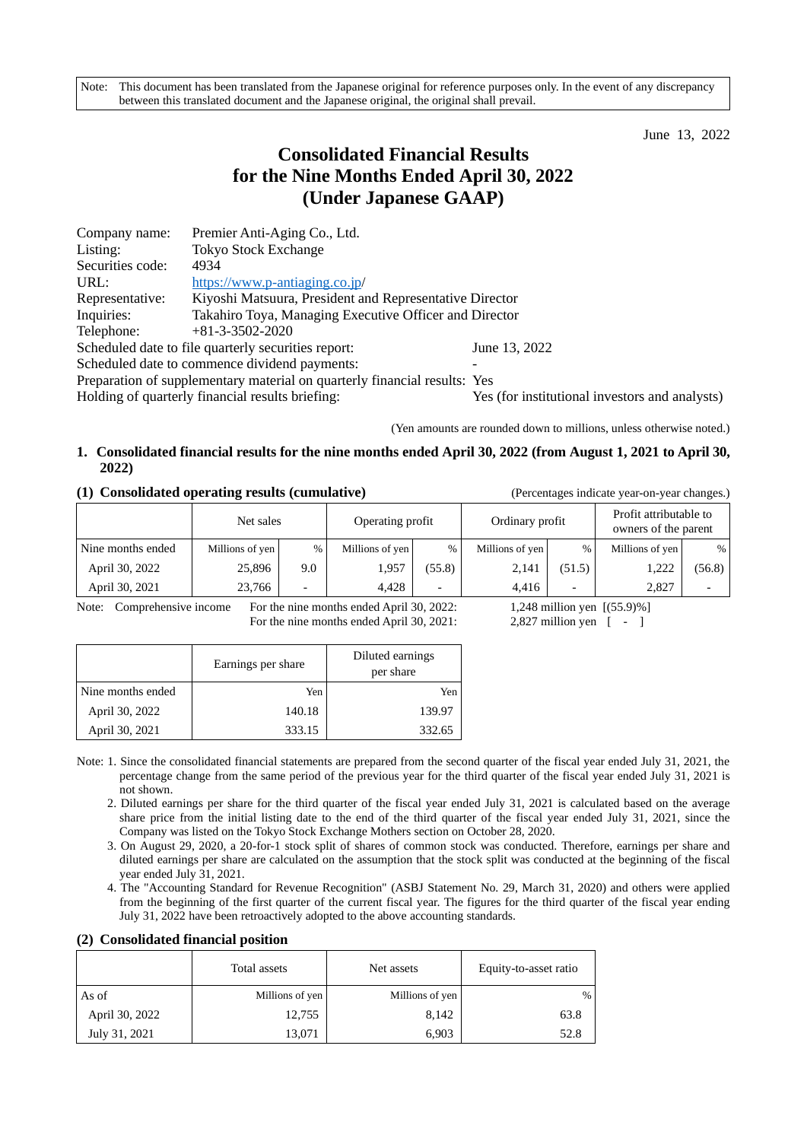Note: This document has been translated from the Japanese original for reference purposes only. In the event of any discrepancy between this translated document and the Japanese original, the original shall prevail.

June 13, 2022

# **Consolidated Financial Results for the Nine Months Ended April 30, 2022 (Under Japanese GAAP)**

| Company name:                                 | Premier Anti-Aging Co., Ltd.                                              |                                                |  |  |
|-----------------------------------------------|---------------------------------------------------------------------------|------------------------------------------------|--|--|
| Listing:                                      | <b>Tokyo Stock Exchange</b>                                               |                                                |  |  |
| Securities code:                              | 4934                                                                      |                                                |  |  |
| URL:                                          | https://www.p-antiaging.co.jp/                                            |                                                |  |  |
| Representative:                               | Kiyoshi Matsuura, President and Representative Director                   |                                                |  |  |
| Inquiries:                                    | Takahiro Toya, Managing Executive Officer and Director                    |                                                |  |  |
| Telephone:                                    | $+81-3-3502-2020$                                                         |                                                |  |  |
|                                               | Scheduled date to file quarterly securities report:                       | June 13, 2022                                  |  |  |
| Scheduled date to commence dividend payments: |                                                                           |                                                |  |  |
|                                               | Preparation of supplementary material on quarterly financial results: Yes |                                                |  |  |
|                                               | Holding of quarterly financial results briefing:                          | Yes (for institutional investors and analysts) |  |  |

(Yen amounts are rounded down to millions, unless otherwise noted.)

# **1. Consolidated financial results for the nine months ended April 30, 2022 (from August 1, 2021 to April 30, 2022)**

## **(1) Consolidated operating results (cumulative)** (Percentages indicate year-on-year changes.)

|                   | Net sales       |      | Operating profit |                          | Ordinary profit |        | Profit attributable to<br>owners of the parent |        |
|-------------------|-----------------|------|------------------|--------------------------|-----------------|--------|------------------------------------------------|--------|
| Nine months ended | Millions of yen | $\%$ | Millions of yen  |                          | Millions of yen | %      | Millions of yen                                | %      |
| April 30, 2022    | 25,896          | 9.0  | 1,957            | (55.8)                   | 2,141           | (51.5) | 1,222                                          | (56.8) |
| April 30, 2021    | 23,766          | -    | 4.428            | $\overline{\phantom{0}}$ | 4.416           |        | 2.827                                          |        |

Note: Comprehensive income For the nine months ended April 30, 2022: 1,248 million yen [(55.9)%] For the nine months ended April 30, 2021: 2,827 million yen [ - ]

|                   | Earnings per share | Diluted earnings<br>per share |  |  |
|-------------------|--------------------|-------------------------------|--|--|
| Nine months ended | Yen                | Yen                           |  |  |
| April 30, 2022    | 140.18             | 139.97                        |  |  |
| April 30, 2021    | 333.15             | 332.65                        |  |  |

- Note: 1. Since the consolidated financial statements are prepared from the second quarter of the fiscal year ended July 31, 2021, the percentage change from the same period of the previous year for the third quarter of the fiscal year ended July 31, 2021 is not shown.
	- 2. Diluted earnings per share for the third quarter of the fiscal year ended July 31, 2021 is calculated based on the average share price from the initial listing date to the end of the third quarter of the fiscal year ended July 31, 2021, since the Company was listed on the Tokyo Stock Exchange Mothers section on October 28, 2020.
	- 3. On August 29, 2020, a 20-for-1 stock split of shares of common stock was conducted. Therefore, earnings per share and diluted earnings per share are calculated on the assumption that the stock split was conducted at the beginning of the fiscal year ended July 31, 2021.
	- 4. The "Accounting Standard for Revenue Recognition" (ASBJ Statement No. 29, March 31, 2020) and others were applied from the beginning of the first quarter of the current fiscal year. The figures for the third quarter of the fiscal year ending July 31, 2022 have been retroactively adopted to the above accounting standards.

## **(2) Consolidated financial position**

|                | Total assets    | Net assets      | Equity-to-asset ratio |
|----------------|-----------------|-----------------|-----------------------|
| As of          | Millions of yen | Millions of yen | %                     |
| April 30, 2022 | 12,755          | 8,142           | 63.8                  |
| July 31, 2021  | 13,071          | 6,903           | 52.8                  |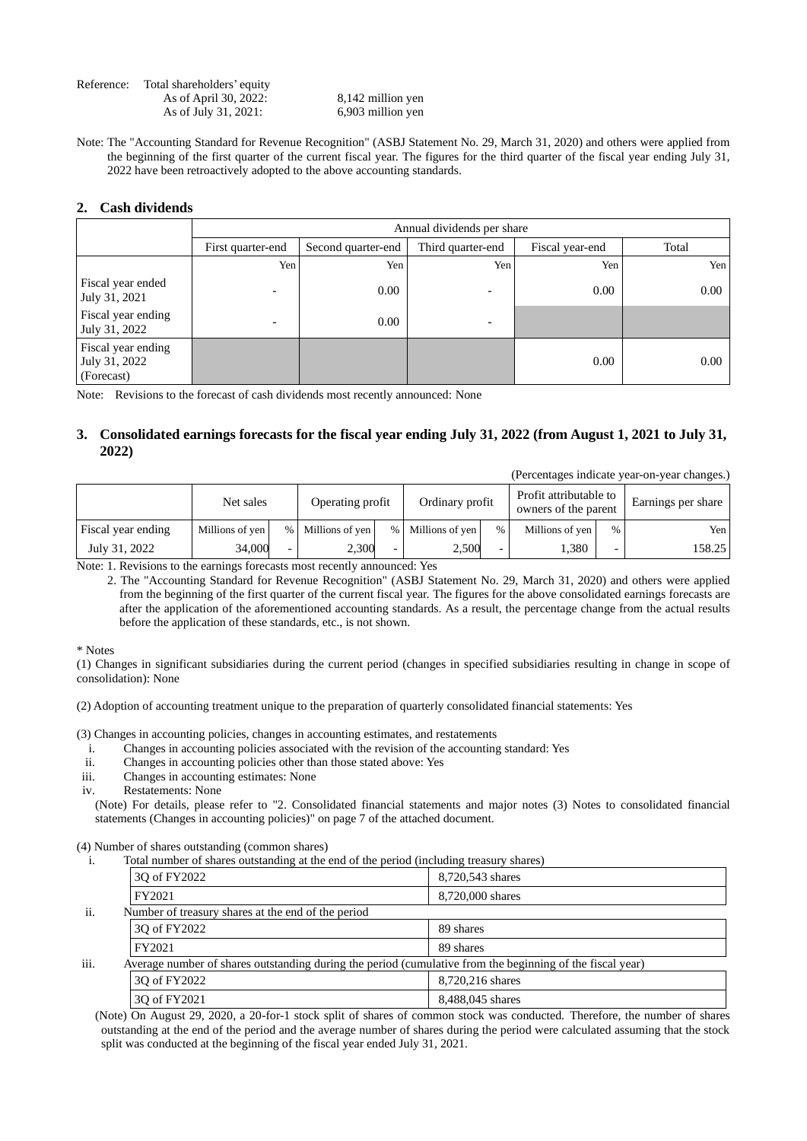| Reference: | Total shareholders' equity |                   |
|------------|----------------------------|-------------------|
|            | As of April 30, 2022:      | 8,142 million yen |
|            | As of July 31, 2021:       | 6,903 million yen |

Note: The "Accounting Standard for Revenue Recognition" (ASBJ Statement No. 29, March 31, 2020) and others were applied from the beginning of the first quarter of the current fiscal year. The figures for the third quarter of the fiscal year ending July 31, 2022 have been retroactively adopted to the above accounting standards.

## **2. Cash dividends**

|                                                   | Annual dividends per share |                                                            |                          |      |      |  |  |  |
|---------------------------------------------------|----------------------------|------------------------------------------------------------|--------------------------|------|------|--|--|--|
|                                                   | First quarter-end          | Third quarter-end<br>Fiscal year-end<br>Second quarter-end |                          |      |      |  |  |  |
|                                                   | Yen                        | Yen                                                        | Yen                      | Yen  | Yen  |  |  |  |
| Fiscal year ended<br>July 31, 2021                | $\overline{\phantom{0}}$   | 0.00                                                       |                          | 0.00 | 0.00 |  |  |  |
| Fiscal year ending<br>July 31, 2022               | $\overline{\phantom{0}}$   | 0.00                                                       | $\overline{\phantom{0}}$ |      |      |  |  |  |
| Fiscal year ending<br>July 31, 2022<br>(Forecast) |                            |                                                            |                          | 0.00 | 0.00 |  |  |  |

Note: Revisions to the forecast of cash dividends most recently announced: None

# **3. Consolidated earnings forecasts for the fiscal year ending July 31, 2022 (from August 1, 2021 to July 31, 2022)**

(Percentages indicate year-on-year changes.)

|                    | Net sales       |      | Operating profit |      | Ordinary profit |               | Profit attributable to<br>owners of the parent |      | Earnings per share |
|--------------------|-----------------|------|------------------|------|-----------------|---------------|------------------------------------------------|------|--------------------|
| Fiscal year ending | Millions of yen | $\%$ | Millions of yen  | $\%$ | Millions of yen | $\frac{0}{0}$ | Millions of yen                                | $\%$ | Yen                |
| July 31, 2022      | 34.000          | -    | 2.300            | -    | 2.500           | -             | <b>1,380</b>                                   |      | 158.25             |

Note: 1. Revisions to the earnings forecasts most recently announced: Yes

 2. The "Accounting Standard for Revenue Recognition" (ASBJ Statement No. 29, March 31, 2020) and others were applied from the beginning of the first quarter of the current fiscal year. The figures for the above consolidated earnings forecasts are after the application of the aforementioned accounting standards. As a result, the percentage change from the actual results before the application of these standards, etc., is not shown.

\* Notes

(1) Changes in significant subsidiaries during the current period (changes in specified subsidiaries resulting in change in scope of consolidation): None

(2) Adoption of accounting treatment unique to the preparation of quarterly consolidated financial statements: Yes

(3) Changes in accounting policies, changes in accounting estimates, and restatements

- i. Changes in accounting policies associated with the revision of the accounting standard: Yes
- Changes in accounting policies other than those stated above: Yes
- iii. Changes in accounting estimates: None
- iv. Restatements: None

(Note) For details, please refer to "2. Consolidated financial statements and major notes (3) Notes to consolidated financial statements (Changes in accounting policies)" on page 7 of the attached document.

#### (4) Number of shares outstanding (common shares)

i. Total number of shares outstanding at the end of the period (including treasury shares)

|      | 30 of FY2022                                                                                              | 8.720.543 shares |
|------|-----------------------------------------------------------------------------------------------------------|------------------|
|      | FY2021                                                                                                    | 8,720,000 shares |
| ii.  | Number of treasury shares at the end of the period                                                        |                  |
|      | 30 of FY2022                                                                                              | 89 shares        |
|      | FY2021                                                                                                    | 89 shares        |
| iii. | Average number of shares outstanding during the period (cumulative from the beginning of the fiscal year) |                  |
|      | 30 of FY2022                                                                                              | 8.720.216 shares |
|      | 30 of FY2021                                                                                              | 8,488,045 shares |

 (Note) On August 29, 2020, a 20-for-1 stock split of shares of common stock was conducted. Therefore, the number of shares outstanding at the end of the period and the average number of shares during the period were calculated assuming that the stock split was conducted at the beginning of the fiscal year ended July 31, 2021.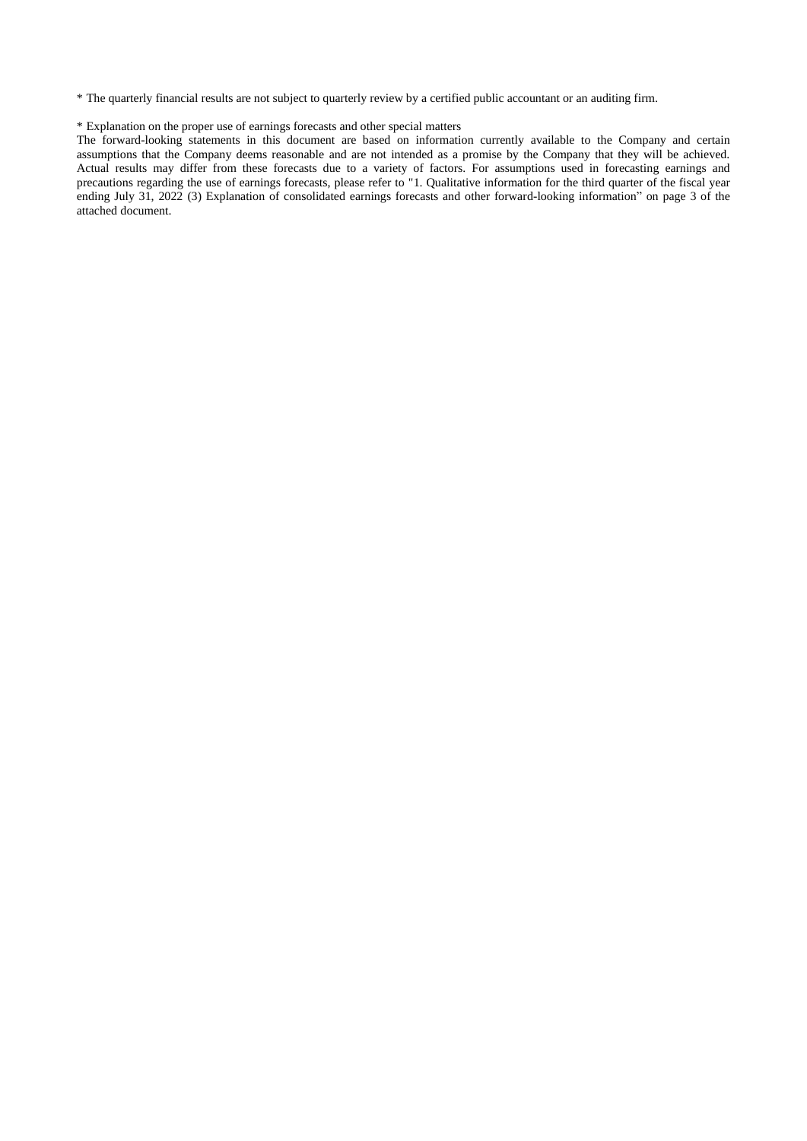\* The quarterly financial results are not subject to quarterly review by a certified public accountant or an auditing firm.

## \* Explanation on the proper use of earnings forecasts and other special matters

The forward-looking statements in this document are based on information currently available to the Company and certain assumptions that the Company deems reasonable and are not intended as a promise by the Company that they will be achieved. Actual results may differ from these forecasts due to a variety of factors. For assumptions used in forecasting earnings and precautions regarding the use of earnings forecasts, please refer to "1. Qualitative information for the third quarter of the fiscal year ending July 31, 2022 (3) Explanation of consolidated earnings forecasts and other forward-looking information" on page 3 of the attached document.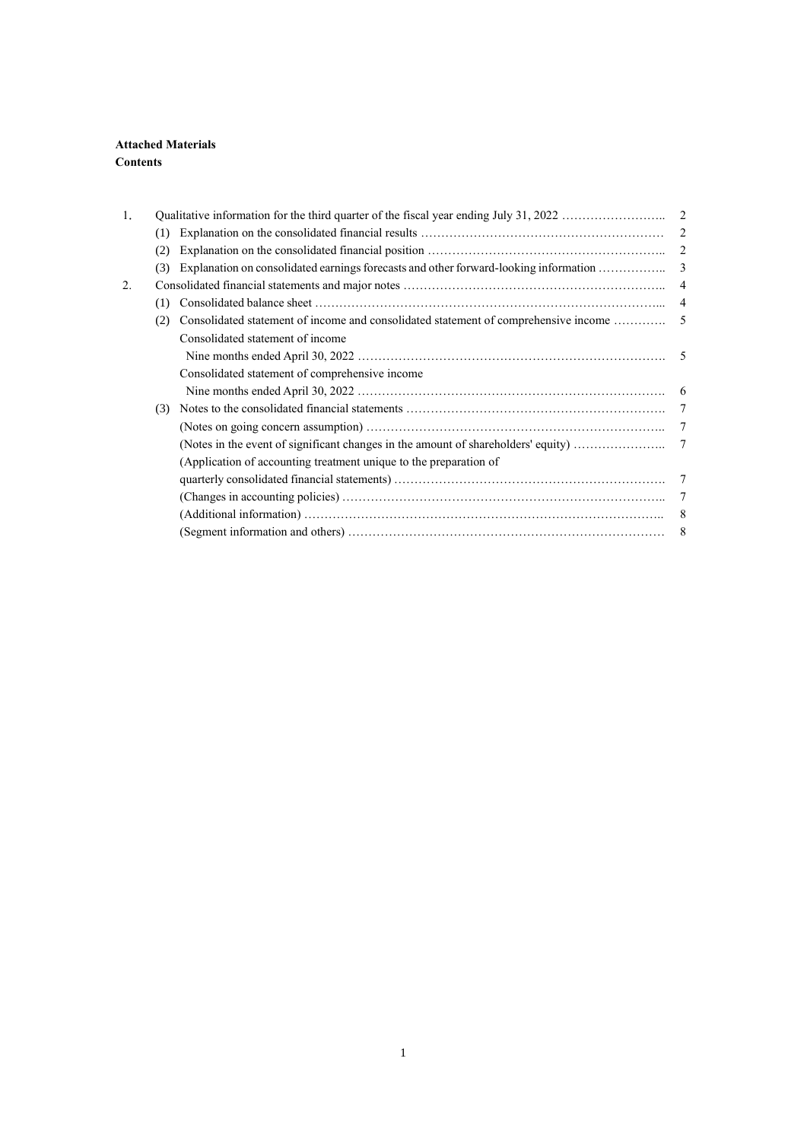# **Attached Materials Contents**

| 1. |     |                                                                   |                 |
|----|-----|-------------------------------------------------------------------|-----------------|
|    | (1) |                                                                   | 2               |
|    | (2) |                                                                   |                 |
|    | (3) |                                                                   |                 |
| 2. |     |                                                                   |                 |
|    | (1) |                                                                   |                 |
|    | (2) |                                                                   |                 |
|    |     | Consolidated statement of income                                  |                 |
|    |     |                                                                   |                 |
|    |     | Consolidated statement of comprehensive income                    |                 |
|    |     |                                                                   |                 |
|    | (3) |                                                                   | $7\phantom{.0}$ |
|    |     |                                                                   |                 |
|    |     |                                                                   |                 |
|    |     | (Application of accounting treatment unique to the preparation of |                 |
|    |     |                                                                   |                 |
|    |     |                                                                   |                 |
|    |     |                                                                   | 8               |
|    |     |                                                                   |                 |
|    |     |                                                                   |                 |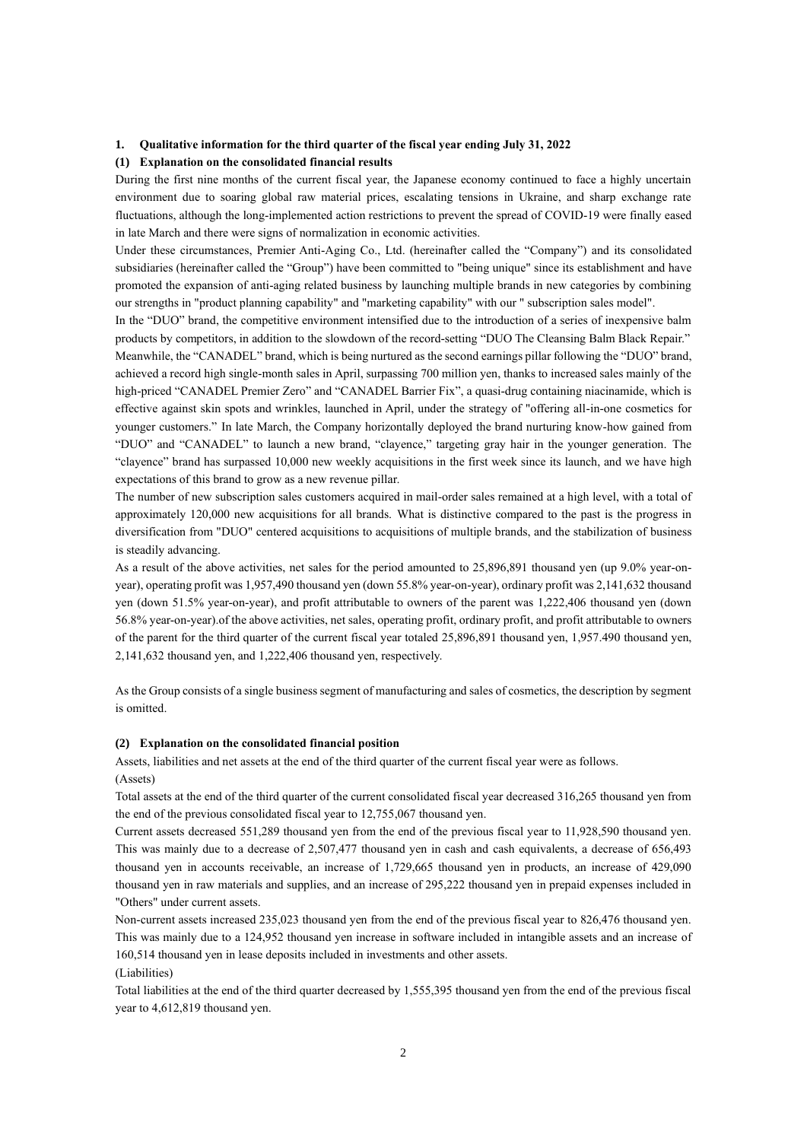## **1. Qualitative information for the third quarter of the fiscal year ending July 31, 2022**

#### **(1) Explanation on the consolidated financial results**

During the first nine months of the current fiscal year, the Japanese economy continued to face a highly uncertain environment due to soaring global raw material prices, escalating tensions in Ukraine, and sharp exchange rate fluctuations, although the long-implemented action restrictions to prevent the spread of COVID-19 were finally eased in late March and there were signs of normalization in economic activities.

Under these circumstances, Premier Anti-Aging Co., Ltd. (hereinafter called the "Company") and its consolidated subsidiaries (hereinafter called the "Group") have been committed to "being unique" since its establishment and have promoted the expansion of anti-aging related business by launching multiple brands in new categories by combining our strengths in "product planning capability" and "marketing capability" with our " subscription sales model".

In the "DUO" brand, the competitive environment intensified due to the introduction of a series of inexpensive balm products by competitors, in addition to the slowdown of the record-setting "DUO The Cleansing Balm Black Repair." Meanwhile, the "CANADEL" brand, which is being nurtured as the second earnings pillar following the "DUO" brand, achieved a record high single-month sales in April, surpassing 700 million yen, thanks to increased sales mainly of the high-priced "CANADEL Premier Zero" and "CANADEL Barrier Fix", a quasi-drug containing niacinamide, which is effective against skin spots and wrinkles, launched in April, under the strategy of "offering all-in-one cosmetics for younger customers." In late March, the Company horizontally deployed the brand nurturing know-how gained from "DUO" and "CANADEL" to launch a new brand, "clayence," targeting gray hair in the younger generation. The "clayence" brand has surpassed 10,000 new weekly acquisitions in the first week since its launch, and we have high expectations of this brand to grow as a new revenue pillar.

The number of new subscription sales customers acquired in mail-order sales remained at a high level, with a total of approximately 120,000 new acquisitions for all brands. What is distinctive compared to the past is the progress in diversification from "DUO" centered acquisitions to acquisitions of multiple brands, and the stabilization of business is steadily advancing.

As a result of the above activities, net sales for the period amounted to 25,896,891 thousand yen (up 9.0% year-onyear), operating profit was 1,957,490 thousand yen (down 55.8% year-on-year), ordinary profit was 2,141,632 thousand yen (down 51.5% year-on-year), and profit attributable to owners of the parent was 1,222,406 thousand yen (down 56.8% year-on-year).of the above activities, net sales, operating profit, ordinary profit, and profit attributable to owners of the parent for the third quarter of the current fiscal year totaled 25,896,891 thousand yen, 1,957.490 thousand yen, 2,141,632 thousand yen, and 1,222,406 thousand yen, respectively.

As the Group consists of a single business segment of manufacturing and sales of cosmetics, the description by segment is omitted.

#### **(2) Explanation on the consolidated financial position**

Assets, liabilities and net assets at the end of the third quarter of the current fiscal year were as follows.

(Assets)

Total assets at the end of the third quarter of the current consolidated fiscal year decreased 316,265 thousand yen from the end of the previous consolidated fiscal year to 12,755,067 thousand yen.

Current assets decreased 551,289 thousand yen from the end of the previous fiscal year to 11,928,590 thousand yen. This was mainly due to a decrease of 2,507,477 thousand yen in cash and cash equivalents, a decrease of 656,493 thousand yen in accounts receivable, an increase of 1,729,665 thousand yen in products, an increase of 429,090 thousand yen in raw materials and supplies, and an increase of 295,222 thousand yen in prepaid expenses included in "Others" under current assets.

Non-current assets increased 235,023 thousand yen from the end of the previous fiscal year to 826,476 thousand yen. This was mainly due to a 124,952 thousand yen increase in software included in intangible assets and an increase of 160,514 thousand yen in lease deposits included in investments and other assets.

(Liabilities)

Total liabilities at the end of the third quarter decreased by 1,555,395 thousand yen from the end of the previous fiscal year to 4,612,819 thousand yen.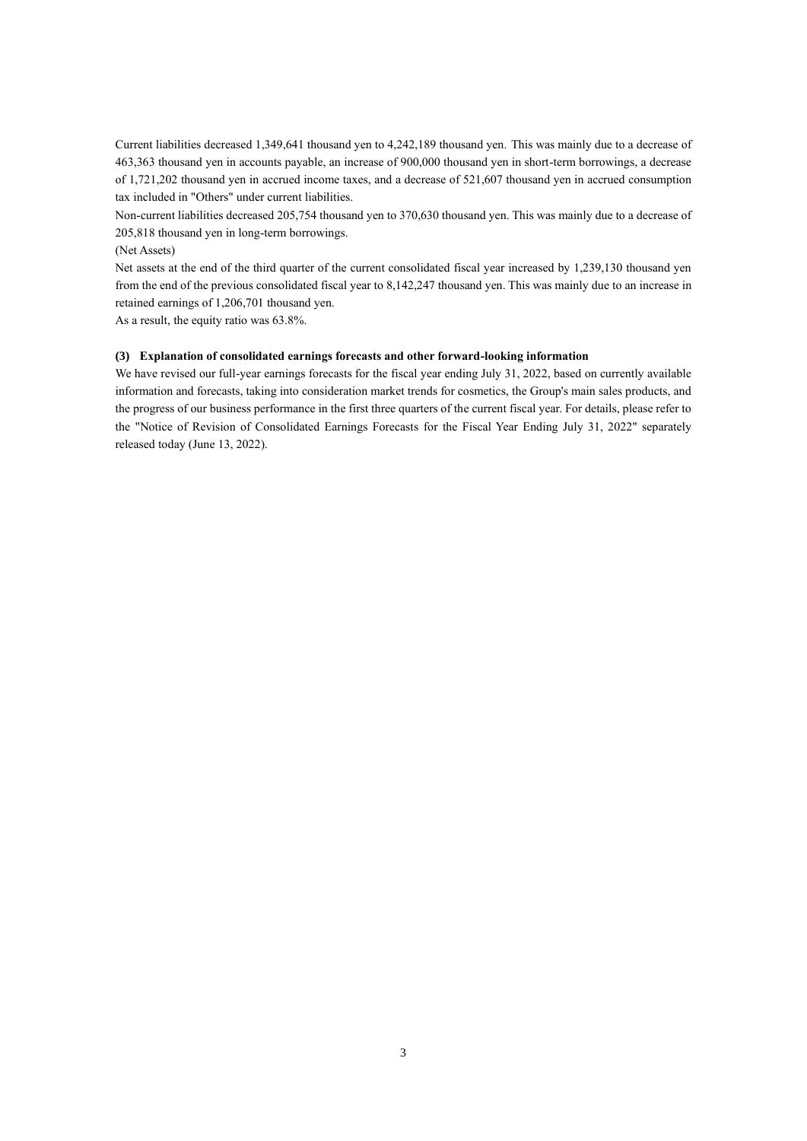Current liabilities decreased 1,349,641 thousand yen to 4,242,189 thousand yen. This was mainly due to a decrease of 463,363 thousand yen in accounts payable, an increase of 900,000 thousand yen in short-term borrowings, a decrease of 1,721,202 thousand yen in accrued income taxes, and a decrease of 521,607 thousand yen in accrued consumption tax included in "Others" under current liabilities.

Non-current liabilities decreased 205,754 thousand yen to 370,630 thousand yen. This was mainly due to a decrease of 205,818 thousand yen in long-term borrowings.

### (Net Assets)

Net assets at the end of the third quarter of the current consolidated fiscal year increased by 1,239,130 thousand yen from the end of the previous consolidated fiscal year to 8,142,247 thousand yen. This was mainly due to an increase in retained earnings of 1,206,701 thousand yen.

As a result, the equity ratio was 63.8%.

## **(3) Explanation of consolidated earnings forecasts and other forward-looking information**

We have revised our full-year earnings forecasts for the fiscal year ending July 31, 2022, based on currently available information and forecasts, taking into consideration market trends for cosmetics, the Group's main sales products, and the progress of our business performance in the first three quarters of the current fiscal year. For details, please refer to the "Notice of Revision of Consolidated Earnings Forecasts for the Fiscal Year Ending July 31, 2022" separately released today (June 13, 2022).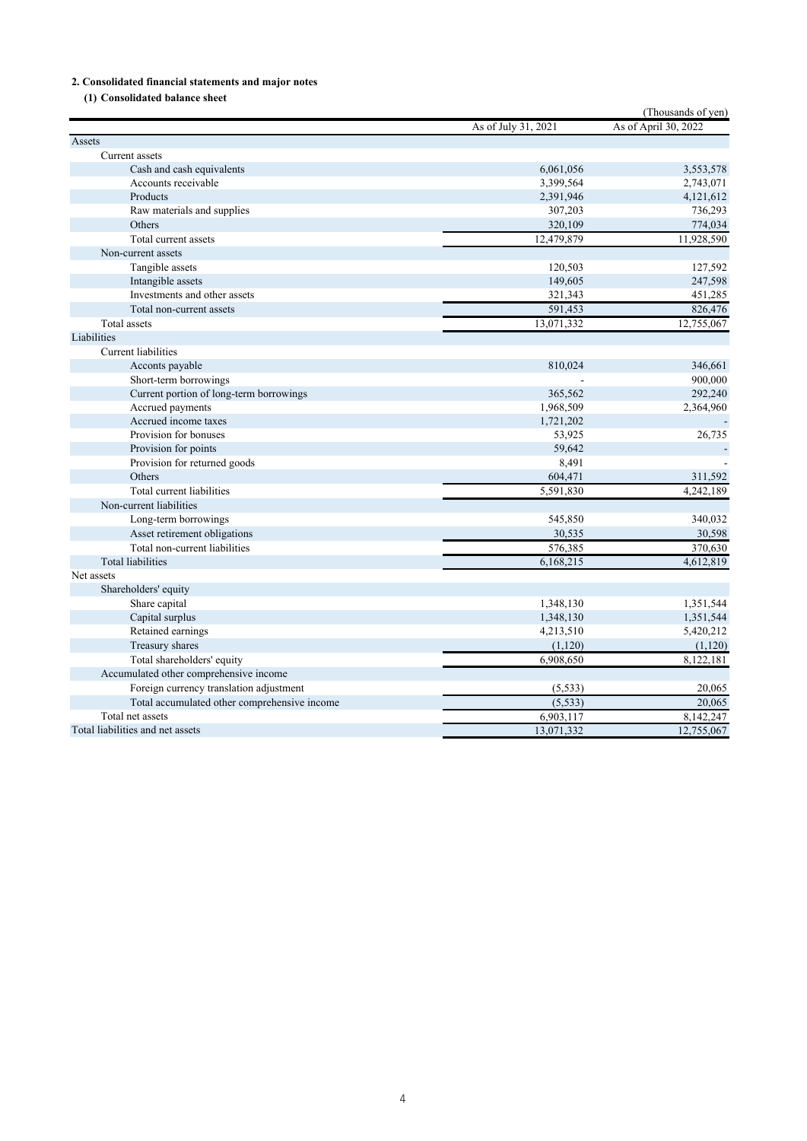# **2. Consolidated financial statements and major notes**

**(1) Consolidated balance sheet**

|                                              |                     | (Thousands of yen)   |
|----------------------------------------------|---------------------|----------------------|
|                                              | As of July 31, 2021 | As of April 30, 2022 |
| Assets                                       |                     |                      |
| Current assets                               |                     |                      |
| Cash and cash equivalents                    | 6,061,056           | 3,553,578            |
| Accounts receivable                          | 3,399,564           | 2,743,071            |
| Products                                     | 2,391,946           | 4,121,612            |
| Raw materials and supplies                   | 307,203             | 736,293              |
| Others                                       | 320,109             | 774,034              |
| Total current assets                         | 12,479,879          | 11,928,590           |
| Non-current assets                           |                     |                      |
| Tangible assets                              | 120,503             | 127,592              |
| Intangible assets                            | 149,605             | 247,598              |
| Investments and other assets                 | 321,343             | 451,285              |
| Total non-current assets                     | 591,453             | 826,476              |
| <b>Total</b> assets                          | 13,071,332          | 12,755,067           |
| Liabilities                                  |                     |                      |
| Current liabilities                          |                     |                      |
| Acconts payable                              | 810,024             | 346,661              |
| Short-term borrowings                        |                     | 900,000              |
| Current portion of long-term borrowings      | 365,562             | 292,240              |
| Accrued payments                             | 1,968,509           | 2,364,960            |
| Accrued income taxes                         | 1,721,202           |                      |
| Provision for bonuses                        | 53,925              | 26,735               |
| Provision for points                         | 59,642              |                      |
| Provision for returned goods                 | 8,491               |                      |
| Others                                       | 604,471             | 311,592              |
| Total current liabilities                    | 5,591,830           | 4,242,189            |
| Non-current liabilities                      |                     |                      |
| Long-term borrowings                         | 545,850             | 340,032              |
| Asset retirement obligations                 | 30,535              | 30,598               |
| Total non-current liabilities                | 576,385             | 370,630              |
| <b>Total liabilities</b>                     | 6,168,215           | 4,612,819            |
| Net assets                                   |                     |                      |
| Shareholders' equity                         |                     |                      |
| Share capital                                | 1,348,130           | 1,351,544            |
| Capital surplus                              | 1,348,130           | 1,351,544            |
| Retained earnings                            | 4,213,510           | 5,420,212            |
| Treasury shares                              | (1,120)             | (1, 120)             |
| Total shareholders' equity                   | 6,908,650           | 8,122,181            |
| Accumulated other comprehensive income       |                     |                      |
| Foreign currency translation adjustment      | (5, 533)            | 20,065               |
| Total accumulated other comprehensive income | (5, 533)            | 20,065               |
| Total net assets                             | 6,903,117           | 8,142,247            |
| Total liabilities and net assets             | 13,071,332          | 12,755,067           |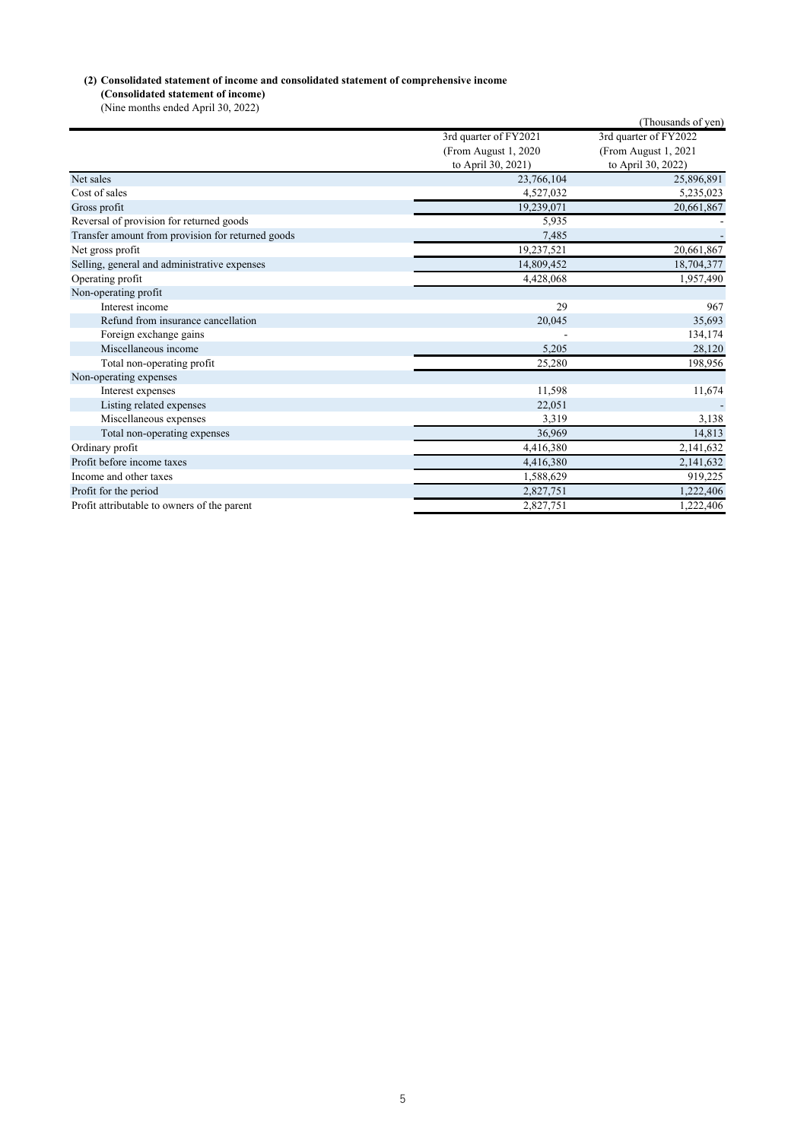# **(2) Consolidated statement of income and consolidated statement of comprehensive income**

**(Consolidated statement of income)** (Nine months ended April 30, 2022)

|                                                   |                       | (Thousands of yen)    |
|---------------------------------------------------|-----------------------|-----------------------|
|                                                   | 3rd quarter of FY2021 | 3rd quarter of FY2022 |
|                                                   | (From August 1, 2020) | (From August 1, 2021  |
|                                                   | to April 30, 2021)    | to April 30, 2022)    |
| Net sales                                         | 23,766,104            | 25,896,891            |
| Cost of sales                                     | 4,527,032             | 5,235,023             |
| Gross profit                                      | 19,239,071            | 20,661,867            |
| Reversal of provision for returned goods          | 5,935                 |                       |
| Transfer amount from provision for returned goods | 7,485                 |                       |
| Net gross profit                                  | 19,237,521            | 20,661,867            |
| Selling, general and administrative expenses      | 14,809,452            | 18,704,377            |
| Operating profit                                  | 4,428,068             | 1,957,490             |
| Non-operating profit                              |                       |                       |
| Interest income                                   | 29                    | 967                   |
| Refund from insurance cancellation                | 20.045                | 35,693                |
| Foreign exchange gains                            |                       | 134,174               |
| Miscellaneous income                              | 5,205                 | 28,120                |
| Total non-operating profit                        | 25,280                | 198,956               |
| Non-operating expenses                            |                       |                       |
| Interest expenses                                 | 11,598                | 11,674                |
| Listing related expenses                          | 22,051                |                       |
| Miscellaneous expenses                            | 3,319                 | 3,138                 |
| Total non-operating expenses                      | 36,969                | 14,813                |
| Ordinary profit                                   | 4,416,380             | 2,141,632             |
| Profit before income taxes                        | 4,416,380             | 2,141,632             |
| Income and other taxes                            | 1,588,629             | 919,225               |
| Profit for the period                             | 2,827,751             | 1,222,406             |
| Profit attributable to owners of the parent       | 2,827,751             | 1,222,406             |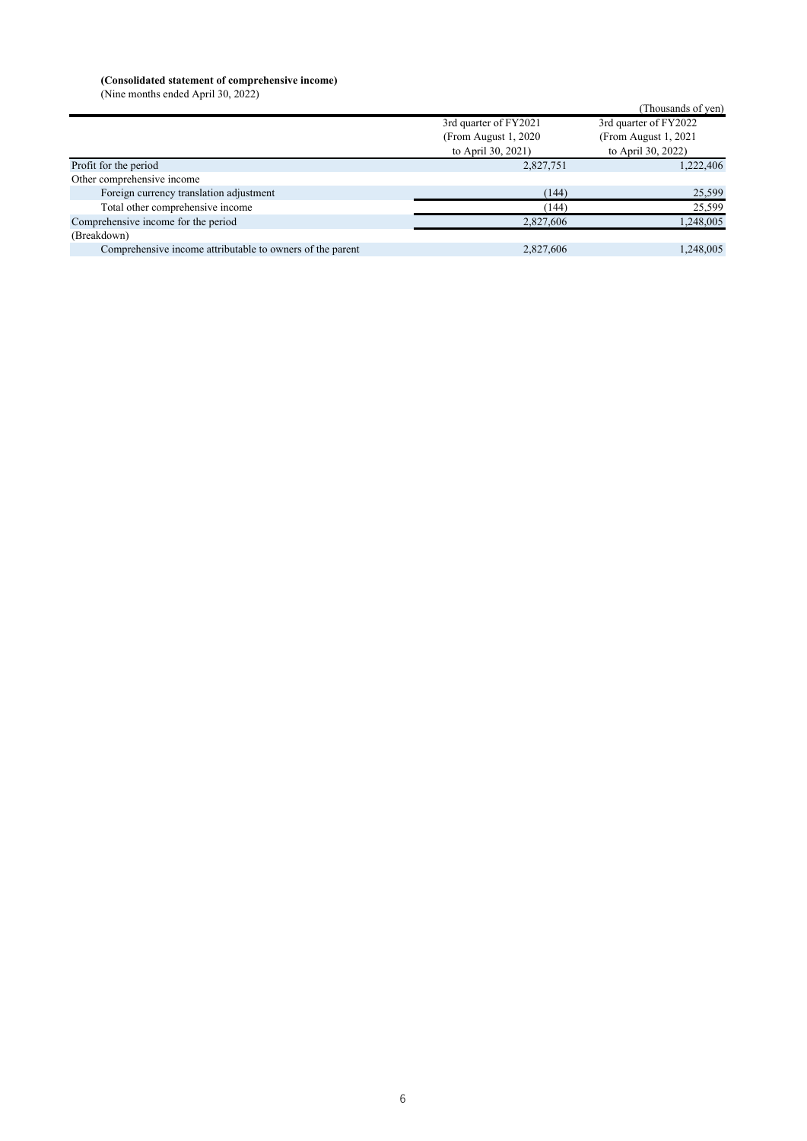#### **(Consolidated statement of comprehensive income)**

(Nine months ended April 30, 2022)

|                                                           |                       | (Thousands of yen)    |
|-----------------------------------------------------------|-----------------------|-----------------------|
|                                                           | 3rd quarter of FY2021 | 3rd quarter of FY2022 |
|                                                           | (From August 1, 2020) | (From August 1, 2021) |
|                                                           | to April 30, 2021)    | to April 30, 2022)    |
| Profit for the period                                     | 2,827,751             | 1,222,406             |
| Other comprehensive income                                |                       |                       |
| Foreign currency translation adjustment                   | (144)                 | 25,599                |
| Total other comprehensive income                          | (144)                 | 25,599                |
| Comprehensive income for the period                       | 2,827,606             | 1,248,005             |
| (Breakdown)                                               |                       |                       |
| Comprehensive income attributable to owners of the parent | 2,827,606             | 1,248,005             |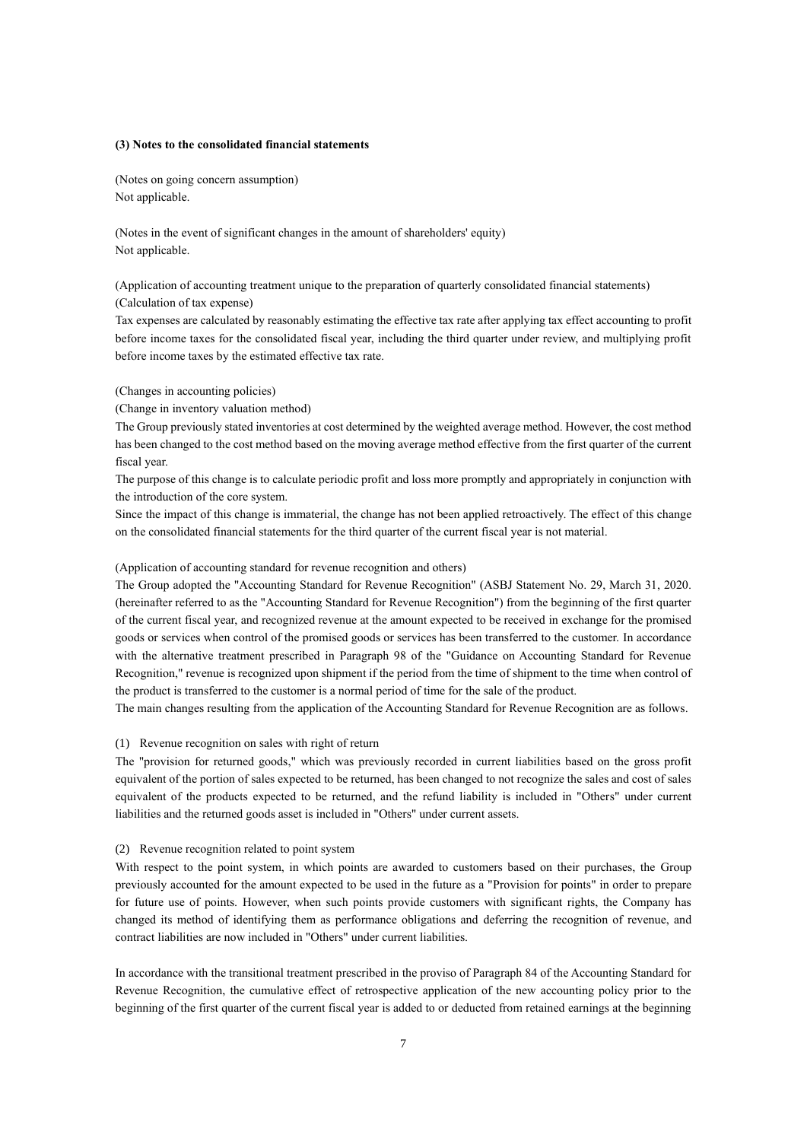## **(3) Notes to the consolidated financial statements**

(Notes on going concern assumption) Not applicable.

(Notes in the event of significant changes in the amount of shareholders' equity) Not applicable.

(Application of accounting treatment unique to the preparation of quarterly consolidated financial statements) (Calculation of tax expense)

Tax expenses are calculated by reasonably estimating the effective tax rate after applying tax effect accounting to profit before income taxes for the consolidated fiscal year, including the third quarter under review, and multiplying profit before income taxes by the estimated effective tax rate.

## (Changes in accounting policies)

(Change in inventory valuation method)

The Group previously stated inventories at cost determined by the weighted average method. However, the cost method has been changed to the cost method based on the moving average method effective from the first quarter of the current fiscal year.

The purpose of this change is to calculate periodic profit and loss more promptly and appropriately in conjunction with the introduction of the core system.

Since the impact of this change is immaterial, the change has not been applied retroactively. The effect of this change on the consolidated financial statements for the third quarter of the current fiscal year is not material.

## (Application of accounting standard for revenue recognition and others)

The Group adopted the "Accounting Standard for Revenue Recognition" (ASBJ Statement No. 29, March 31, 2020. (hereinafter referred to as the "Accounting Standard for Revenue Recognition") from the beginning of the first quarter of the current fiscal year, and recognized revenue at the amount expected to be received in exchange for the promised goods or services when control of the promised goods or services has been transferred to the customer. In accordance with the alternative treatment prescribed in Paragraph 98 of the "Guidance on Accounting Standard for Revenue Recognition," revenue is recognized upon shipment if the period from the time of shipment to the time when control of the product is transferred to the customer is a normal period of time for the sale of the product.

The main changes resulting from the application of the Accounting Standard for Revenue Recognition are as follows.

#### (1) Revenue recognition on sales with right of return

The "provision for returned goods," which was previously recorded in current liabilities based on the gross profit equivalent of the portion of sales expected to be returned, has been changed to not recognize the sales and cost of sales equivalent of the products expected to be returned, and the refund liability is included in "Others" under current liabilities and the returned goods asset is included in "Others" under current assets.

#### (2) Revenue recognition related to point system

With respect to the point system, in which points are awarded to customers based on their purchases, the Group previously accounted for the amount expected to be used in the future as a "Provision for points" in order to prepare for future use of points. However, when such points provide customers with significant rights, the Company has changed its method of identifying them as performance obligations and deferring the recognition of revenue, and contract liabilities are now included in "Others" under current liabilities.

In accordance with the transitional treatment prescribed in the proviso of Paragraph 84 of the Accounting Standard for Revenue Recognition, the cumulative effect of retrospective application of the new accounting policy prior to the beginning of the first quarter of the current fiscal year is added to or deducted from retained earnings at the beginning